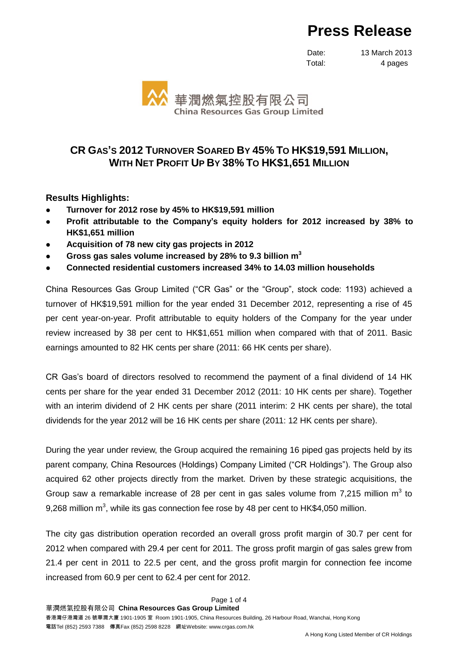# **Press Release**

Date: 13 March 2013 Total: 4 pages



# **CR GAS'S 2012 TURNOVER SOARED BY 45% TO HK\$19,591 MILLION, WITH NET PROFIT UP BY 38% TO HK\$1,651 MILLION**

## **Results Highlights:**

- **Turnover for 2012 rose by 45% to HK\$19,591 million**
- **Profit attributable to the Company's equity holders for 2012 increased by 38% to HK\$1,651 million**
- **Acquisition of 78 new city gas projects in 2012**
- **Gross gas sales volume increased by 28% to 9.3 billion m 3**
- **Connected residential customers increased 34% to 14.03 million households**

China Resources Gas Group Limited ("CR Gas" or the "Group", stock code: 1193) achieved a turnover of HK\$19,591 million for the year ended 31 December 2012, representing a rise of 45 per cent year-on-year. Profit attributable to equity holders of the Company for the year under review increased by 38 per cent to HK\$1,651 million when compared with that of 2011. Basic earnings amounted to 82 HK cents per share (2011: 66 HK cents per share).

CR Gas's board of directors resolved to recommend the payment of a final dividend of 14 HK cents per share for the year ended 31 December 2012 (2011: 10 HK cents per share). Together with an interim dividend of 2 HK cents per share (2011 interim: 2 HK cents per share), the total dividends for the year 2012 will be 16 HK cents per share (2011: 12 HK cents per share).

During the year under review, the Group acquired the remaining 16 piped gas projects held by its parent company, China Resources (Holdings) Company Limited ("CR Holdings"). The Group also acquired 62 other projects directly from the market. Driven by these strategic acquisitions, the Group saw a remarkable increase of 28 per cent in gas sales volume from 7,215 million  $m^3$  to 9,268 million m<sup>3</sup>, while its gas connection fee rose by 48 per cent to HK\$4,050 million.

The city gas distribution operation recorded an overall gross profit margin of 30.7 per cent for 2012 when compared with 29.4 per cent for 2011. The gross profit margin of gas sales grew from 21.4 per cent in 2011 to 22.5 per cent, and the gross profit margin for connection fee income increased from 60.9 per cent to 62.4 per cent for 2012.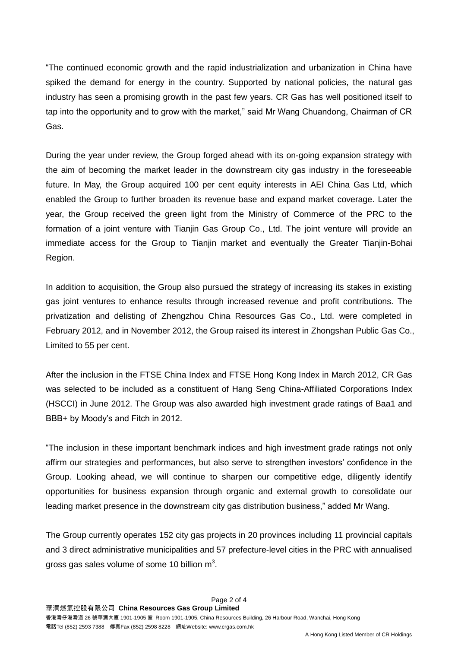"The continued economic growth and the rapid industrialization and urbanization in China have spiked the demand for energy in the country. Supported by national policies, the natural gas industry has seen a promising growth in the past few years. CR Gas has well positioned itself to tap into the opportunity and to grow with the market," said Mr Wang Chuandong, Chairman of CR Gas.

During the year under review, the Group forged ahead with its on-going expansion strategy with the aim of becoming the market leader in the downstream city gas industry in the foreseeable future. In May, the Group acquired 100 per cent equity interests in AEI China Gas Ltd, which enabled the Group to further broaden its revenue base and expand market coverage. Later the year, the Group received the green light from the Ministry of Commerce of the PRC to the formation of a joint venture with Tianjin Gas Group Co., Ltd. The joint venture will provide an immediate access for the Group to Tianjin market and eventually the Greater Tianjin-Bohai Region.

In addition to acquisition, the Group also pursued the strategy of increasing its stakes in existing gas joint ventures to enhance results through increased revenue and profit contributions. The privatization and delisting of Zhengzhou China Resources Gas Co., Ltd. were completed in February 2012, and in November 2012, the Group raised its interest in Zhongshan Public Gas Co., Limited to 55 per cent.

After the inclusion in the FTSE China Index and FTSE Hong Kong Index in March 2012, CR Gas was selected to be included as a constituent of Hang Seng China-Affiliated Corporations Index (HSCCI) in June 2012. The Group was also awarded high investment grade ratings of Baa1 and BBB+ by Moody's and Fitch in 2012.

"The inclusion in these important benchmark indices and high investment grade ratings not only affirm our strategies and performances, but also serve to strengthen investors' confidence in the Group. Looking ahead, we will continue to sharpen our competitive edge, diligently identify opportunities for business expansion through organic and external growth to consolidate our leading market presence in the downstream city gas distribution business," added Mr Wang.

The Group currently operates 152 city gas projects in 20 provinces including 11 provincial capitals and 3 direct administrative municipalities and 57 prefecture-level cities in the PRC with annualised gross gas sales volume of some 10 billion  $m^3$ .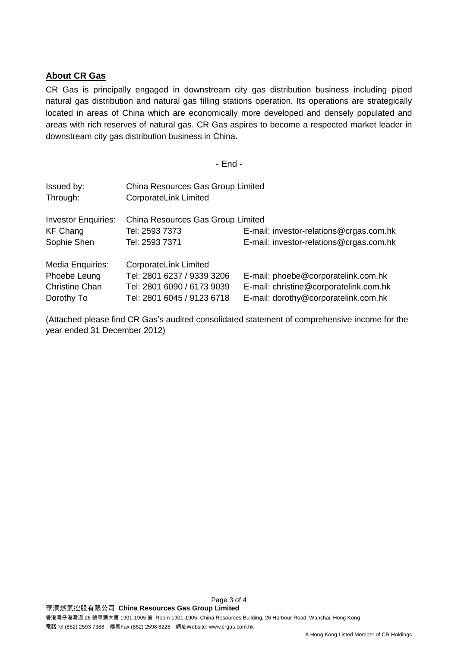### **About CR Gas**

CR Gas is principally engaged in downstream city gas distribution business including piped natural gas distribution and natural gas filling stations operation. Its operations are strategically located in areas of China which are economically more developed and densely populated and areas with rich reserves of natural gas. CR Gas aspires to become a respected market leader in downstream city gas distribution business in China.

- End -

| Issued by:<br>Through:     | China Resources Gas Group Limited<br><b>CorporateLink Limited</b> |                                         |  |
|----------------------------|-------------------------------------------------------------------|-----------------------------------------|--|
| <b>Investor Enquiries:</b> | China Resources Gas Group Limited                                 |                                         |  |
| <b>KF Chang</b>            | Tel: 2593 7373                                                    | E-mail: investor-relations@crgas.com.hk |  |
| Sophie Shen                | Tel: 2593 7371                                                    | E-mail: investor-relations@crgas.com.hk |  |
| Media Enquiries:           | CorporateLink Limited                                             |                                         |  |
| Phoebe Leung               | Tel: 2801 6237 / 9339 3206                                        | E-mail: phoebe@corporatelink.com.hk     |  |
| <b>Christine Chan</b>      | Tel: 2801 6090 / 6173 9039                                        | E-mail: christine@corporatelink.com.hk  |  |
| Dorothy To                 | Tel: 2801 6045 / 9123 6718                                        | E-mail: dorothy@corporatelink.com.hk    |  |

(Attached please find CR Gas's audited consolidated statement of comprehensive income for the year ended 31 December 2012)